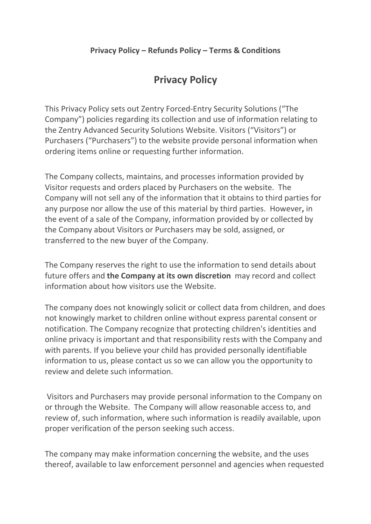## Privacy Policy

This Privacy Policy sets out Zentry Forced-Entry Security Solutions ("The Company") policies regarding its collection and use of information relating to the Zentry Advanced Security Solutions Website. Visitors ("Visitors") or Purchasers ("Purchasers") to the website provide personal information when ordering items online or requesting further information.

The Company collects, maintains, and processes information provided by Visitor requests and orders placed by Purchasers on the website. The Company will not sell any of the information that it obtains to third parties for any purpose nor allow the use of this material by third parties. However, in the event of a sale of the Company, information provided by or collected by the Company about Visitors or Purchasers may be sold, assigned, or transferred to the new buyer of the Company.

The Company reserves the right to use the information to send details about future offers and the Company at its own discretion may record and collect information about how visitors use the Website.

The company does not knowingly solicit or collect data from children, and does not knowingly market to children online without express parental consent or notification. The Company recognize that protecting children's identities and online privacy is important and that responsibility rests with the Company and with parents. If you believe your child has provided personally identifiable information to us, please contact us so we can allow you the opportunity to review and delete such information.

 Visitors and Purchasers may provide personal information to the Company on or through the Website. The Company will allow reasonable access to, and review of, such information, where such information is readily available, upon proper verification of the person seeking such access.

The company may make information concerning the website, and the uses thereof, available to law enforcement personnel and agencies when requested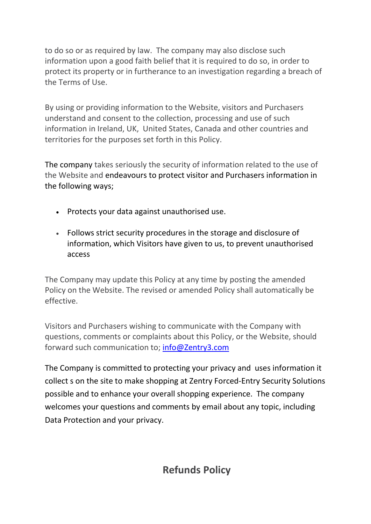to do so or as required by law. The company may also disclose such information upon a good faith belief that it is required to do so, in order to protect its property or in furtherance to an investigation regarding a breach of the Terms of Use.

By using or providing information to the Website, visitors and Purchasers understand and consent to the collection, processing and use of such information in Ireland, UK, United States, Canada and other countries and territories for the purposes set forth in this Policy.

The company takes seriously the security of information related to the use of the Website and endeavours to protect visitor and Purchasers information in the following ways;

- Protects your data against unauthorised use.
- Follows strict security procedures in the storage and disclosure of information, which Visitors have given to us, to prevent unauthorised access

The Company may update this Policy at any time by posting the amended Policy on the Website. The revised or amended Policy shall automatically be effective.

Visitors and Purchasers wishing to communicate with the Company with questions, comments or complaints about this Policy, or the Website, should forward such communication to; info@Zentry3.com

The Company is committed to protecting your privacy and uses information it collect s on the site to make shopping at Zentry Forced-Entry Security Solutions possible and to enhance your overall shopping experience. The company welcomes your questions and comments by email about any topic, including Data Protection and your privacy.

Refunds Policy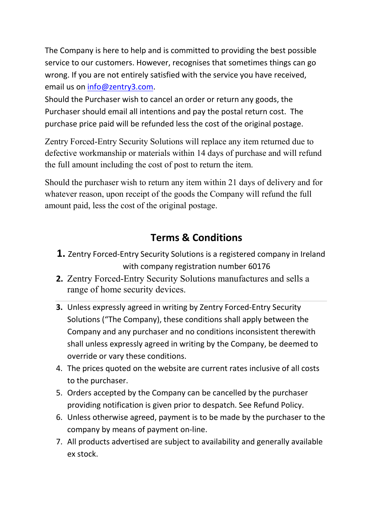The Company is here to help and is committed to providing the best possible service to our customers. However, recognises that sometimes things can go wrong. If you are not entirely satisfied with the service you have received, email us on info@zentry3.com.

Should the Purchaser wish to cancel an order or return any goods, the Purchaser should email all intentions and pay the postal return cost. The purchase price paid will be refunded less the cost of the original postage.

Zentry Forced-Entry Security Solutions will replace any item returned due to defective workmanship or materials within 14 days of purchase and will refund the full amount including the cost of post to return the item.

Should the purchaser wish to return any item within 21 days of delivery and for whatever reason, upon receipt of the goods the Company will refund the full amount paid, less the cost of the original postage.

## Terms & Conditions

- 1. Zentry Forced-Entry Security Solutions is a registered company in Ireland with company registration number 60176
- 2. Zentry Forced-Entry Security Solutions manufactures and sells a range of home security devices.
- 3. Unless expressly agreed in writing by Zentry Forced-Entry Security Solutions ("The Company), these conditions shall apply between the Company and any purchaser and no conditions inconsistent therewith shall unless expressly agreed in writing by the Company, be deemed to override or vary these conditions.
- 4. The prices quoted on the website are current rates inclusive of all costs to the purchaser.
- 5. Orders accepted by the Company can be cancelled by the purchaser providing notification is given prior to despatch. See Refund Policy.
- 6. Unless otherwise agreed, payment is to be made by the purchaser to the company by means of payment on-line.
- 7. All products advertised are subject to availability and generally available ex stock.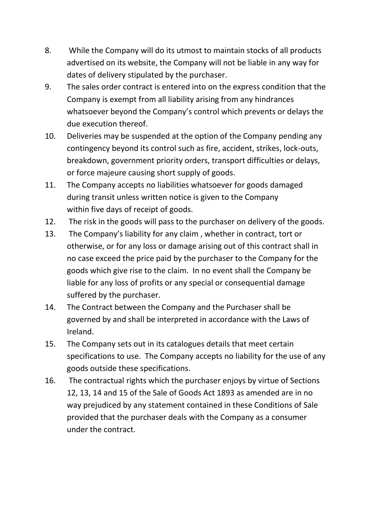- 8. While the Company will do its utmost to maintain stocks of all products advertised on its website, the Company will not be liable in any way for dates of delivery stipulated by the purchaser.
- 9. The sales order contract is entered into on the express condition that the Company is exempt from all liability arising from any hindrances whatsoever beyond the Company's control which prevents or delays the due execution thereof.
- 10. Deliveries may be suspended at the option of the Company pending any contingency beyond its control such as fire, accident, strikes, lock-outs, breakdown, government priority orders, transport difficulties or delays, or force majeure causing short supply of goods.
- 11. The Company accepts no liabilities whatsoever for goods damaged during transit unless written notice is given to the Company within five days of receipt of goods.
- 12. The risk in the goods will pass to the purchaser on delivery of the goods.
- 13. The Company's liability for any claim , whether in contract, tort or otherwise, or for any loss or damage arising out of this contract shall in no case exceed the price paid by the purchaser to the Company for the goods which give rise to the claim. In no event shall the Company be liable for any loss of profits or any special or consequential damage suffered by the purchaser.
- 14. The Contract between the Company and the Purchaser shall be governed by and shall be interpreted in accordance with the Laws of Ireland.
- 15. The Company sets out in its catalogues details that meet certain specifications to use. The Company accepts no liability for the use of any goods outside these specifications.
- 16. The contractual rights which the purchaser enjoys by virtue of Sections 12, 13, 14 and 15 of the Sale of Goods Act 1893 as amended are in no way prejudiced by any statement contained in these Conditions of Sale provided that the purchaser deals with the Company as a consumer under the contract.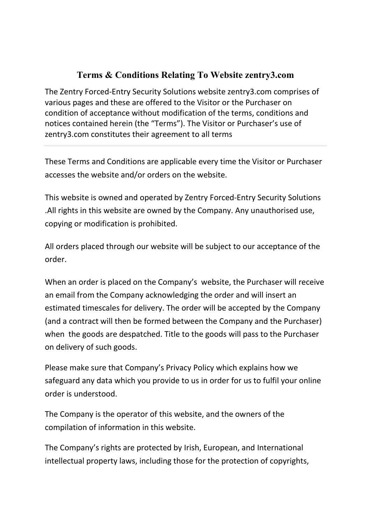## Terms & Conditions Relating To Website zentry3.com

The Zentry Forced-Entry Security Solutions website zentry3.com comprises of various pages and these are offered to the Visitor or the Purchaser on condition of acceptance without modification of the terms, conditions and notices contained herein (the "Terms"). The Visitor or Purchaser's use of zentry3.com constitutes their agreement to all terms

These Terms and Conditions are applicable every time the Visitor or Purchaser accesses the website and/or orders on the website.

This website is owned and operated by Zentry Forced-Entry Security Solutions .All rights in this website are owned by the Company. Any unauthorised use, copying or modification is prohibited.

All orders placed through our website will be subject to our acceptance of the order.

When an order is placed on the Company's website, the Purchaser will receive an email from the Company acknowledging the order and will insert an estimated timescales for delivery. The order will be accepted by the Company (and a contract will then be formed between the Company and the Purchaser) when the goods are despatched. Title to the goods will pass to the Purchaser on delivery of such goods.

Please make sure that Company's Privacy Policy which explains how we safeguard any data which you provide to us in order for us to fulfil your online order is understood.

The Company is the operator of this website, and the owners of the compilation of information in this website.

The Company's rights are protected by Irish, European, and International intellectual property laws, including those for the protection of copyrights,